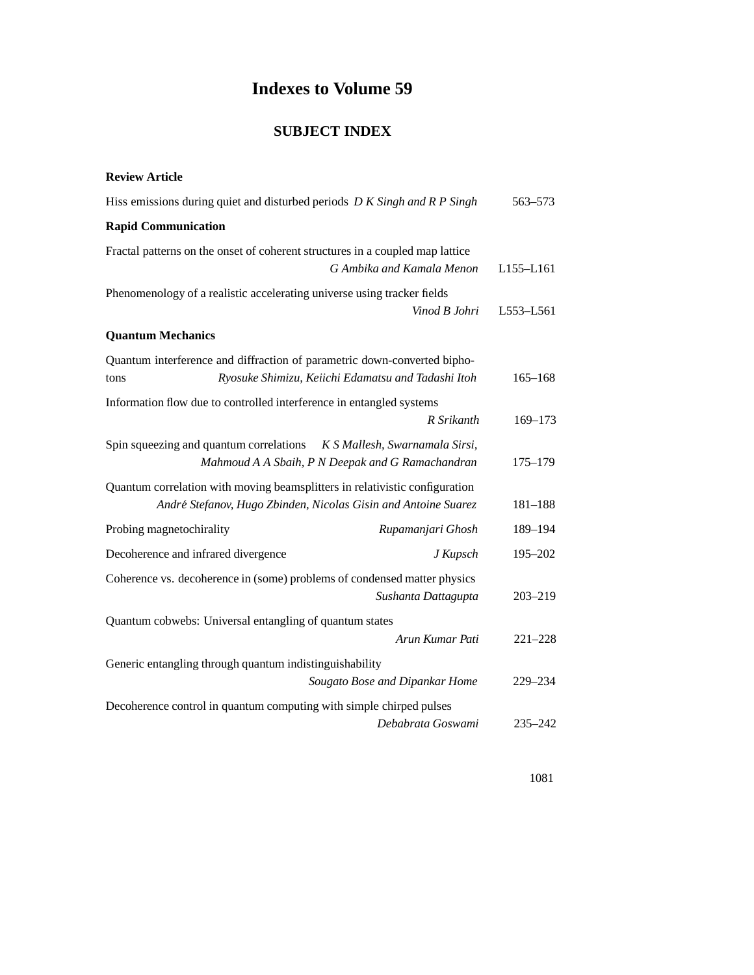## **Indexes to Volume 59**

## **SUBJECT INDEX**

## **Review Article**

| Hiss emissions during quiet and disturbed periods D K Singh and R P Singh                                                                     |                                                    | 563-573     |
|-----------------------------------------------------------------------------------------------------------------------------------------------|----------------------------------------------------|-------------|
| <b>Rapid Communication</b>                                                                                                                    |                                                    |             |
| Fractal patterns on the onset of coherent structures in a coupled map lattice                                                                 | G Ambika and Kamala Menon                          | L155-L161   |
| Phenomenology of a realistic accelerating universe using tracker fields                                                                       | Vinod B Johri                                      | L553-L561   |
| <b>Quantum Mechanics</b>                                                                                                                      |                                                    |             |
| Quantum interference and diffraction of parametric down-converted bipho-<br>tons                                                              | Ryosuke Shimizu, Keiichi Edamatsu and Tadashi Itoh | $165 - 168$ |
| Information flow due to controlled interference in entangled systems                                                                          | R Srikanth                                         | $169 - 173$ |
| Spin squeezing and quantum correlations K S Mallesh, Swarnamala Sirsi,                                                                        | Mahmoud A A Sbaih, P N Deepak and G Ramachandran   | $175 - 179$ |
| Quantum correlation with moving beamsplitters in relativistic configuration<br>André Stefanov, Hugo Zbinden, Nicolas Gisin and Antoine Suarez |                                                    | 181-188     |
| Probing magnetochirality                                                                                                                      | Rupamanjari Ghosh                                  | 189-194     |
| Decoherence and infrared divergence                                                                                                           | J Kupsch                                           | $195 - 202$ |
| Coherence vs. decoherence in (some) problems of condensed matter physics                                                                      | Sushanta Dattagupta                                | $203 - 219$ |
| Quantum cobwebs: Universal entangling of quantum states                                                                                       |                                                    |             |
|                                                                                                                                               | Arun Kumar Pati                                    | $221 - 228$ |
| Generic entangling through quantum indistinguishability                                                                                       | Sougato Bose and Dipankar Home                     | 229-234     |
| Decoherence control in quantum computing with simple chirped pulses                                                                           |                                                    |             |
|                                                                                                                                               | Debabrata Goswami                                  | 235-242     |

1081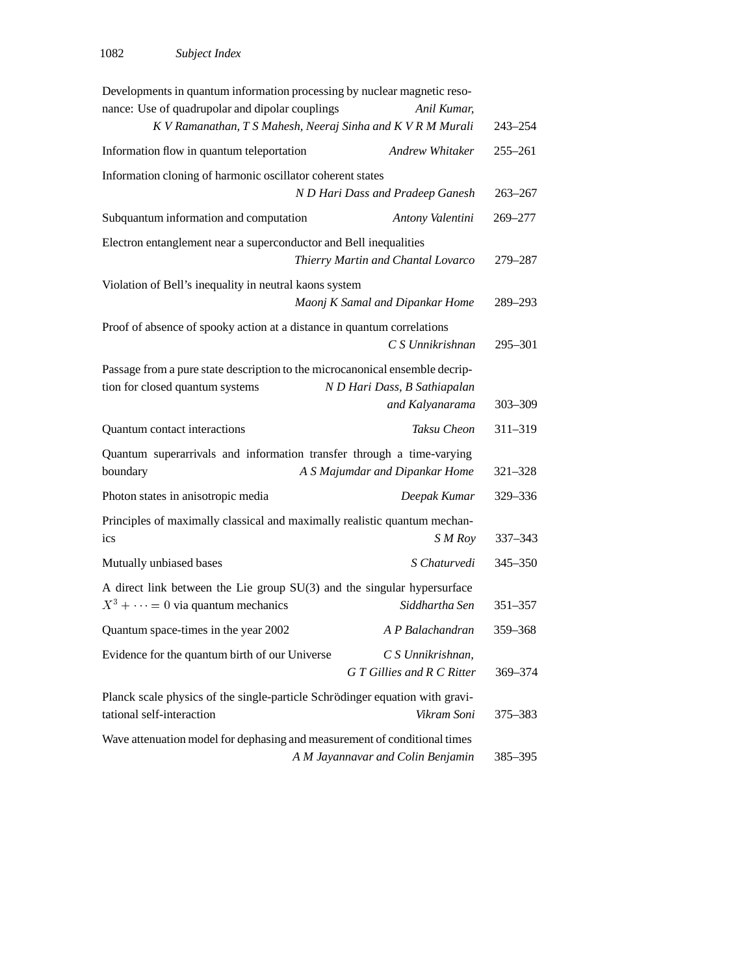| Developments in quantum information processing by nuclear magnetic reso-                                        |                                                 |             |
|-----------------------------------------------------------------------------------------------------------------|-------------------------------------------------|-------------|
| nance: Use of quadrupolar and dipolar couplings                                                                 | Anil Kumar,                                     |             |
| K V Ramanathan, T S Mahesh, Neeraj Sinha and K V R M Murali                                                     |                                                 | $243 - 254$ |
| Information flow in quantum teleportation                                                                       | Andrew Whitaker                                 | $255 - 261$ |
| Information cloning of harmonic oscillator coherent states                                                      |                                                 |             |
|                                                                                                                 | N D Hari Dass and Pradeep Ganesh                | $263 - 267$ |
| Subquantum information and computation                                                                          | Antony Valentini                                | 269-277     |
| Electron entanglement near a superconductor and Bell inequalities                                               |                                                 |             |
|                                                                                                                 | Thierry Martin and Chantal Lovarco              | 279-287     |
| Violation of Bell's inequality in neutral kaons system                                                          |                                                 |             |
|                                                                                                                 | Maonj K Samal and Dipankar Home                 | 289-293     |
| Proof of absence of spooky action at a distance in quantum correlations                                         | C S Unnikrishnan                                | 295-301     |
| Passage from a pure state description to the microcanonical ensemble decrip-<br>tion for closed quantum systems | N D Hari Dass, B Sathiapalan                    |             |
|                                                                                                                 | and Kalyanarama                                 | $303 - 309$ |
| Quantum contact interactions                                                                                    | Taksu Cheon                                     | 311-319     |
| Quantum superarrivals and information transfer through a time-varying<br>boundary                               | A S Majumdar and Dipankar Home                  | 321-328     |
| Photon states in anisotropic media                                                                              | Deepak Kumar                                    | 329-336     |
| Principles of maximally classical and maximally realistic quantum mechan-<br>ics                                | S M Roy                                         | 337-343     |
| Mutually unbiased bases                                                                                         | S Chaturvedi                                    | 345-350     |
| A direct link between the Lie group SU(3) and the singular hypersurface                                         |                                                 |             |
| $X^3 + \cdots = 0$ via quantum mechanics                                                                        | Siddhartha Sen                                  | 351-357     |
| Quantum space-times in the year 2002                                                                            | A P Balachandran                                | 359-368     |
| Evidence for the quantum birth of our Universe                                                                  | C S Unnikrishnan,<br>G T Gillies and R C Ritter | 369-374     |
| Planck scale physics of the single-particle Schrödinger equation with gravi-<br>tational self-interaction       | Vikram Soni                                     | 375–383     |
| Wave attenuation model for dephasing and measurement of conditional times                                       | A M Jayannavar and Colin Benjamin               | 385-395     |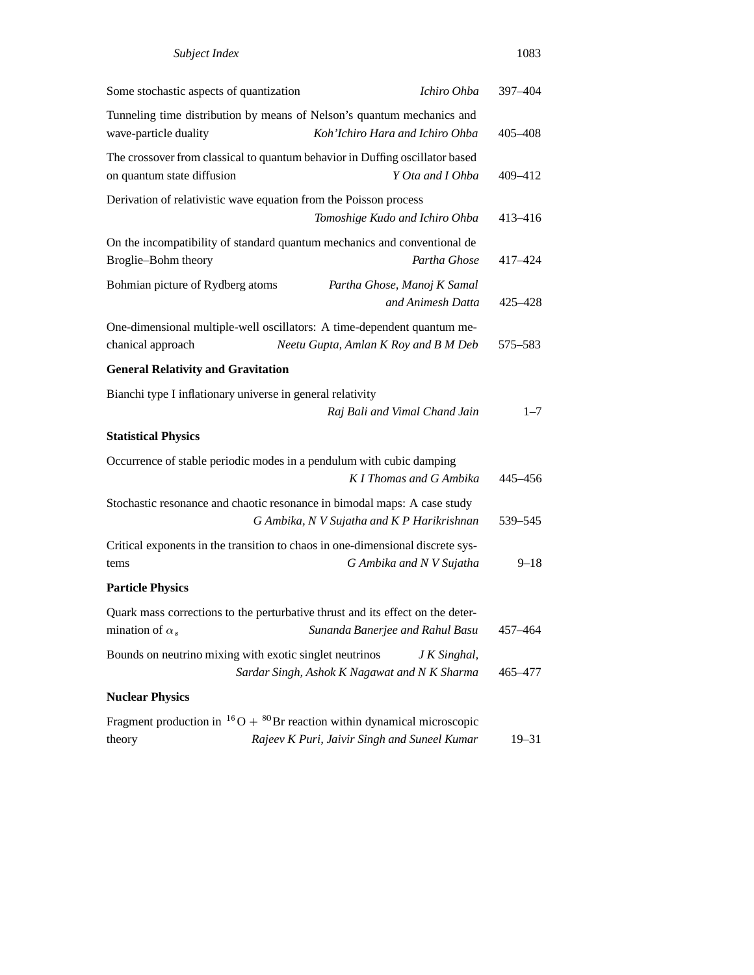| Subject Index                                                                                              |                                                              | 1083      |
|------------------------------------------------------------------------------------------------------------|--------------------------------------------------------------|-----------|
| Some stochastic aspects of quantization                                                                    | Ichiro Ohba                                                  | 397-404   |
| Tunneling time distribution by means of Nelson's quantum mechanics and<br>wave-particle duality            | Koh'Ichiro Hara and Ichiro Ohba                              | 405-408   |
| The crossover from classical to quantum behavior in Duffing oscillator based<br>on quantum state diffusion | Y Ota and I Ohba                                             | 409-412   |
| Derivation of relativistic wave equation from the Poisson process                                          | Tomoshige Kudo and Ichiro Ohba                               | 413-416   |
| On the incompatibility of standard quantum mechanics and conventional de<br>Broglie-Bohm theory            | Partha Ghose                                                 | 417-424   |
| Bohmian picture of Rydberg atoms                                                                           | Partha Ghose, Manoj K Samal<br>and Animesh Datta             | 425 - 428 |
| One-dimensional multiple-well oscillators: A time-dependent quantum me-<br>chanical approach               | Neetu Gupta, Amlan K Roy and B M Deb                         | 575–583   |
| <b>General Relativity and Gravitation</b>                                                                  |                                                              |           |
| Bianchi type I inflationary universe in general relativity                                                 | Raj Bali and Vimal Chand Jain                                | $1 - 7$   |
| <b>Statistical Physics</b>                                                                                 |                                                              |           |
| Occurrence of stable periodic modes in a pendulum with cubic damping                                       | K I Thomas and G Ambika                                      | 445–456   |
| Stochastic resonance and chaotic resonance in bimodal maps: A case study                                   | G Ambika, N V Sujatha and K P Harikrishnan                   | 539 - 545 |
| Critical exponents in the transition to chaos in one-dimensional discrete sys-<br>tems                     | G Ambika and N V Sujatha                                     | $9 - 18$  |
| <b>Particle Physics</b>                                                                                    |                                                              |           |
| Quark mass corrections to the perturbative thrust and its effect on the deter-<br>mination of $\alpha_s$   | Sunanda Banerjee and Rahul Basu                              | 457–464   |
| Bounds on neutrino mixing with exotic singlet neutrinos                                                    | J K Singhal,<br>Sardar Singh, Ashok K Nagawat and N K Sharma | 465-477   |
| <b>Nuclear Physics</b>                                                                                     |                                                              |           |
| Fragment production in ${}^{16}O + {}^{80}Br$ reaction within dynamical microscopic<br>theory              | Rajeev K Puri, Jaivir Singh and Suneel Kumar                 | 19–31     |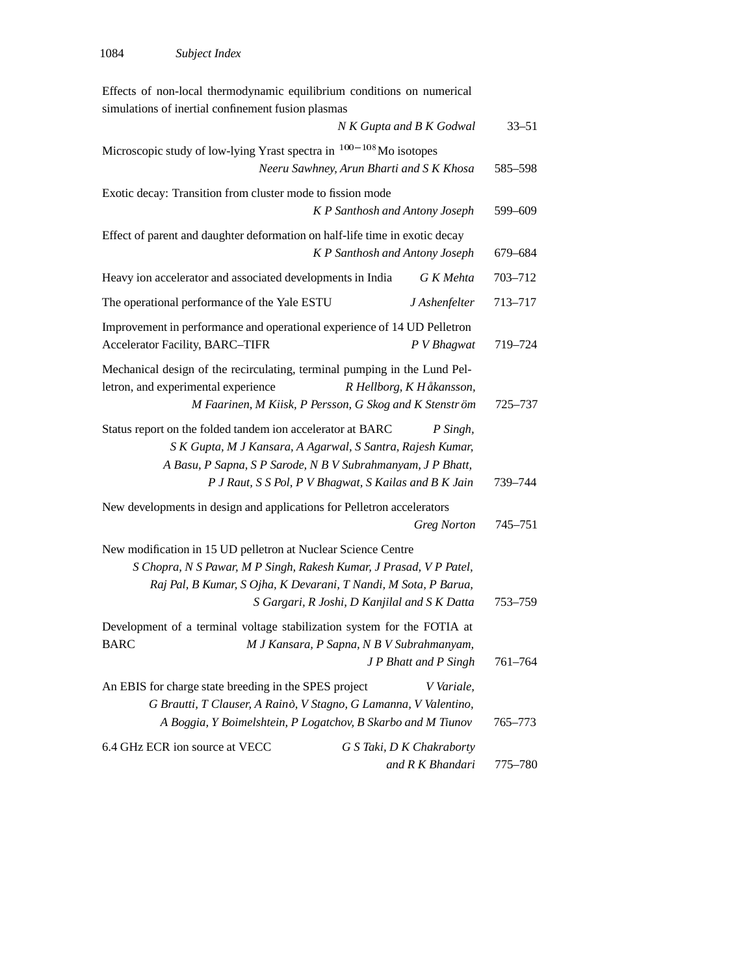| Effects of non-local thermodynamic equilibrium conditions on numerical                                                           |                                              |                                               |           |
|----------------------------------------------------------------------------------------------------------------------------------|----------------------------------------------|-----------------------------------------------|-----------|
| simulations of inertial confinement fusion plasmas                                                                               |                                              |                                               |           |
|                                                                                                                                  |                                              | N K Gupta and B K Godwal                      | $33 - 51$ |
| Microscopic study of low-lying Yrast spectra in $100-108$ Mo isotopes                                                            |                                              |                                               |           |
|                                                                                                                                  | Neeru Sawhney, Arun Bharti and S K Khosa     |                                               | 585–598   |
| Exotic decay: Transition from cluster mode to fission mode                                                                       |                                              |                                               |           |
|                                                                                                                                  | K P Santhosh and Antony Joseph               |                                               | 599-609   |
| Effect of parent and daughter deformation on half-life time in exotic decay                                                      |                                              |                                               |           |
|                                                                                                                                  | K P Santhosh and Antony Joseph               |                                               | 679-684   |
| Heavy ion accelerator and associated developments in India                                                                       |                                              | G K Mehta                                     | 703-712   |
| The operational performance of the Yale ESTU                                                                                     |                                              | J Ashenfelter                                 | 713-717   |
| Improvement in performance and operational experience of 14 UD Pelletron                                                         |                                              |                                               |           |
| Accelerator Facility, BARC-TIFR                                                                                                  |                                              | P V Bhagwat                                   | 719-724   |
| Mechanical design of the recirculating, terminal pumping in the Lund Pel-                                                        |                                              |                                               |           |
| letron, and experimental experience                                                                                              |                                              | R Hellborg, K Håkansson,                      |           |
| M Faarinen, M Kiisk, P Persson, G Skog and K Stenström                                                                           |                                              |                                               | 725-737   |
| Status report on the folded tandem ion accelerator at BARC                                                                       |                                              | P Singh,                                      |           |
| S K Gupta, M J Kansara, A Agarwal, S Santra, Rajesh Kumar,                                                                       |                                              |                                               |           |
| A Basu, P Sapna, S P Sarode, N B V Subrahmanyam, J P Bhatt,                                                                      |                                              |                                               |           |
| P J Raut, S S Pol, P V Bhagwat, S Kailas and B K Jain                                                                            |                                              |                                               | 739–744   |
| New developments in design and applications for Pelletron accelerators                                                           |                                              |                                               |           |
|                                                                                                                                  |                                              | <b>Greg Norton</b>                            | 745-751   |
| New modification in 15 UD pelletron at Nuclear Science Centre                                                                    |                                              |                                               |           |
| S Chopra, N S Pawar, M P Singh, Rakesh Kumar, J Prasad, V P Patel,                                                               |                                              |                                               |           |
| Raj Pal, B Kumar, S Ojha, K Devarani, T Nandi, M Sota, P Barua,                                                                  |                                              |                                               |           |
|                                                                                                                                  | S Gargari, R Joshi, D Kanjilal and S K Datta |                                               | 753-759   |
| Development of a terminal voltage stabilization system for the FOTIA at                                                          |                                              |                                               |           |
| <b>BARC</b>                                                                                                                      | M J Kansara, P Sapna, N B V Subrahmanyam,    |                                               |           |
|                                                                                                                                  |                                              | J P Bhatt and P Singh                         | 761-764   |
| An EBIS for charge state breeding in the SPES project                                                                            |                                              | V Variale,                                    |           |
| G Brautti, T Clauser, A Rainò, V Stagno, G Lamanna, V Valentino,<br>A Boggia, Y Boimelshtein, P Logatchov, B Skarbo and M Tiunov |                                              |                                               | 765–773   |
|                                                                                                                                  |                                              |                                               |           |
| 6.4 GHz ECR ion source at VECC                                                                                                   |                                              | G S Taki, D K Chakraborty<br>and R K Bhandari | 775-780   |
|                                                                                                                                  |                                              |                                               |           |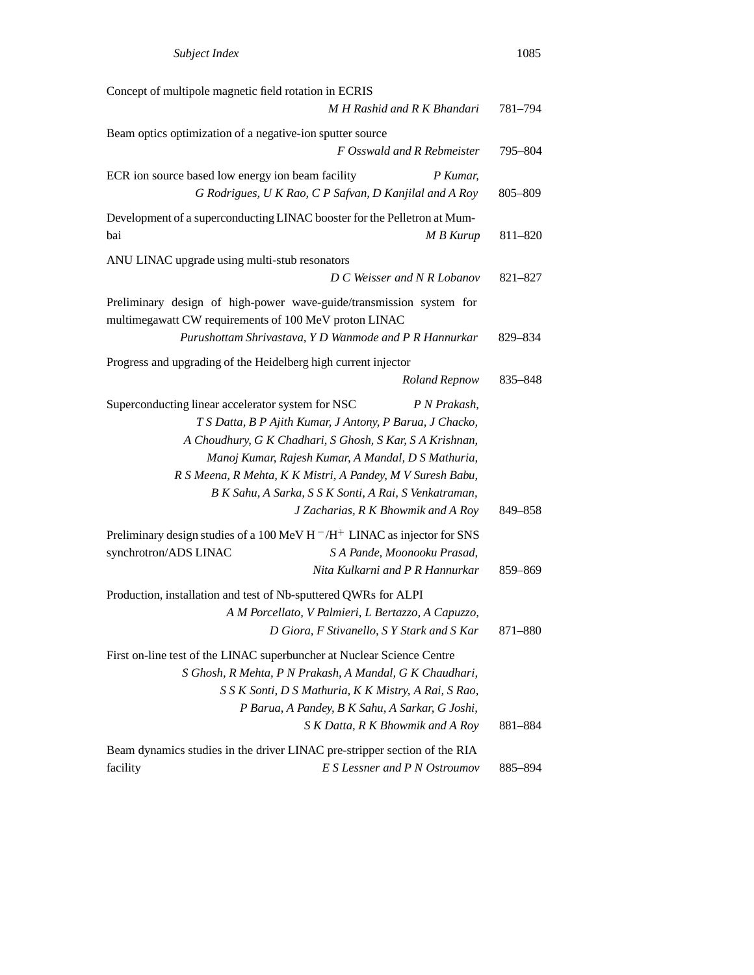| Concept of multipole magnetic field rotation in ECRIS                                                                        |                                                                                                                                                                                                                                                                                                                                                         |         |
|------------------------------------------------------------------------------------------------------------------------------|---------------------------------------------------------------------------------------------------------------------------------------------------------------------------------------------------------------------------------------------------------------------------------------------------------------------------------------------------------|---------|
|                                                                                                                              | M H Rashid and R K Bhandari                                                                                                                                                                                                                                                                                                                             | 781-794 |
| Beam optics optimization of a negative-ion sputter source                                                                    |                                                                                                                                                                                                                                                                                                                                                         |         |
|                                                                                                                              | F Osswald and R Rebmeister                                                                                                                                                                                                                                                                                                                              | 795-804 |
| ECR ion source based low energy ion beam facility                                                                            | P Kumar,<br>G Rodrigues, U K Rao, C P Safvan, D Kanjilal and A Roy                                                                                                                                                                                                                                                                                      | 805-809 |
| Development of a superconducting LINAC booster for the Pelletron at Mum-<br>bai                                              | M B Kurup                                                                                                                                                                                                                                                                                                                                               | 811-820 |
| ANU LINAC upgrade using multi-stub resonators                                                                                | D C Weisser and N R Lobanov                                                                                                                                                                                                                                                                                                                             | 821-827 |
| Preliminary design of high-power wave-guide/transmission system for<br>multimegawatt CW requirements of 100 MeV proton LINAC | Purushottam Shrivastava, Y D Wanmode and P R Hannurkar                                                                                                                                                                                                                                                                                                  | 829-834 |
| Progress and upgrading of the Heidelberg high current injector                                                               | <b>Roland Repnow</b>                                                                                                                                                                                                                                                                                                                                    | 835-848 |
| Superconducting linear accelerator system for NSC                                                                            | P N Prakash,<br>T S Datta, B P Ajith Kumar, J Antony, P Barua, J Chacko,<br>A Choudhury, G K Chadhari, S Ghosh, S Kar, S A Krishnan,<br>Manoj Kumar, Rajesh Kumar, A Mandal, D S Mathuria,<br>R S Meena, R Mehta, K K Mistri, A Pandey, M V Suresh Babu,<br>B K Sahu, A Sarka, S S K Sonti, A Rai, S Venkatraman,<br>J Zacharias, R K Bhowmik and A Roy | 849-858 |
| Preliminary design studies of a 100 MeV H $^-$ /H $^+$ LINAC as injector for SNS<br>synchrotron/ADS LINAC                    | S A Pande, Moonooku Prasad,<br>Nita Kulkarni and P R Hannurkar                                                                                                                                                                                                                                                                                          | 859-869 |
| Production, installation and test of Nb-sputtered QWRs for ALPI                                                              | A M Porcellato, V Palmieri, L Bertazzo, A Capuzzo,<br>D Giora, F Stivanello, S Y Stark and S Kar                                                                                                                                                                                                                                                        | 871-880 |
| First on-line test of the LINAC superbuncher at Nuclear Science Centre                                                       | S Ghosh, R Mehta, P N Prakash, A Mandal, G K Chaudhari,<br>S S K Sonti, D S Mathuria, K K Mistry, A Rai, S Rao,<br>P Barua, A Pandey, B K Sahu, A Sarkar, G Joshi,<br>S K Datta, R K Bhowmik and A Roy                                                                                                                                                  | 881-884 |
| Beam dynamics studies in the driver LINAC pre-stripper section of the RIA<br>facility                                        | E S Lessner and P N Ostroumov                                                                                                                                                                                                                                                                                                                           | 885-894 |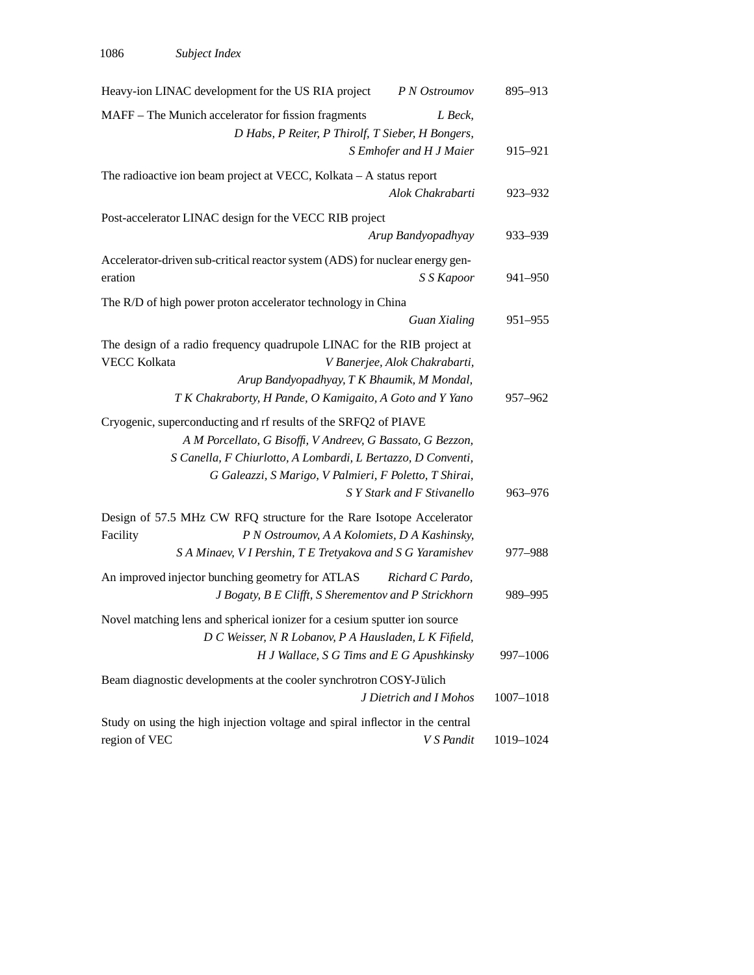| Heavy-ion LINAC development for the US RIA project                                                                                                                                                                                                      | P N Ostroumov                 | 895-913   |
|---------------------------------------------------------------------------------------------------------------------------------------------------------------------------------------------------------------------------------------------------------|-------------------------------|-----------|
| MAFF – The Munich accelerator for fission fragments<br>D Habs, P Reiter, P Thirolf, T Sieber, H Bongers,                                                                                                                                                | L Beck,                       |           |
|                                                                                                                                                                                                                                                         | S Emhofer and H J Maier       | 915-921   |
| The radioactive ion beam project at VECC, Kolkata - A status report                                                                                                                                                                                     | Alok Chakrabarti              | 923-932   |
| Post-accelerator LINAC design for the VECC RIB project                                                                                                                                                                                                  |                               |           |
|                                                                                                                                                                                                                                                         | Arup Bandyopadhyay            | 933-939   |
| Accelerator-driven sub-critical reactor system (ADS) for nuclear energy gen-<br>eration                                                                                                                                                                 | S S Kapoor                    | 941-950   |
| The R/D of high power proton accelerator technology in China                                                                                                                                                                                            |                               |           |
|                                                                                                                                                                                                                                                         | <b>Guan Xialing</b>           | 951-955   |
| The design of a radio frequency quadrupole LINAC for the RIB project at<br><b>VECC Kolkata</b><br>Arup Bandyopadhyay, T K Bhaumik, M Mondal,<br>T K Chakraborty, H Pande, O Kamigaito, A Goto and Y Yano                                                | V Banerjee, Alok Chakrabarti, | 957-962   |
| Cryogenic, superconducting and rf results of the SRFQ2 of PIAVE<br>A M Porcellato, G Bisoffi, V Andreev, G Bassato, G Bezzon,<br>S Canella, F Chiurlotto, A Lombardi, L Bertazzo, D Conventi,<br>G Galeazzi, S Marigo, V Palmieri, F Poletto, T Shirai, | S Y Stark and F Stivanello    | 963-976   |
| Design of 57.5 MHz CW RFQ structure for the Rare Isotope Accelerator<br>Facility<br>P N Ostroumov, A A Kolomiets, D A Kashinsky,<br>S A Minaev, V I Pershin, T E Tretyakova and S G Yaramishev                                                          |                               | 977-988   |
| An improved injector bunching geometry for ATLAS<br>J Bogaty, B E Clifft, S Sherementov and P Strickhorn                                                                                                                                                | Richard C Pardo,              | 989-995   |
| Novel matching lens and spherical ionizer for a cesium sputter ion source<br>D C Weisser, N R Lobanov, P A Hausladen, L K Fifield,<br>H J Wallace, S G Tims and E G Apushkinsky                                                                         |                               | 997-1006  |
| Beam diagnostic developments at the cooler synchrotron COSY-Jülich                                                                                                                                                                                      | J Dietrich and I Mohos        | 1007-1018 |
| Study on using the high injection voltage and spiral inflector in the central<br>region of VEC                                                                                                                                                          | V S Pandit                    | 1019-1024 |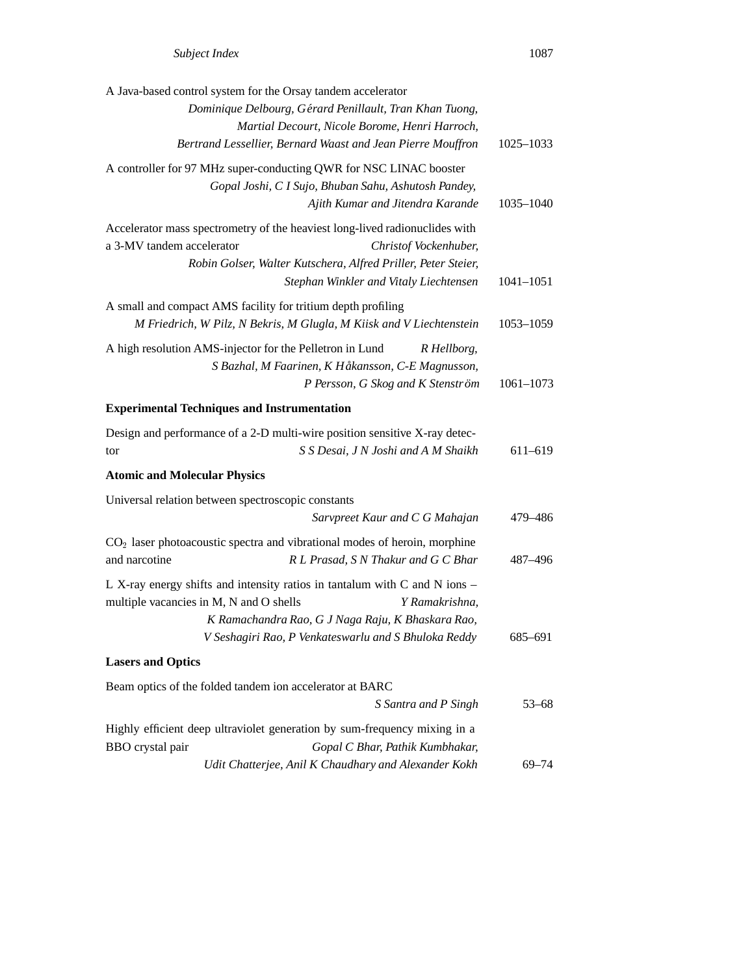|                                                    | A Java-based control system for the Orsay tandem accelerator                |               |
|----------------------------------------------------|-----------------------------------------------------------------------------|---------------|
|                                                    | Dominique Delbourg, Gérard Penillault, Tran Khan Tuong,                     |               |
|                                                    | Martial Decourt, Nicole Borome, Henri Harroch,                              |               |
|                                                    | Bertrand Lessellier, Bernard Waast and Jean Pierre Mouffron                 | 1025-1033     |
|                                                    | A controller for 97 MHz super-conducting QWR for NSC LINAC booster          |               |
|                                                    | Gopal Joshi, C I Sujo, Bhuban Sahu, Ashutosh Pandey,                        |               |
|                                                    | Ajith Kumar and Jitendra Karande                                            | 1035-1040     |
|                                                    | Accelerator mass spectrometry of the heaviest long-lived radionuclides with |               |
| a 3-MV tandem accelerator                          | Christof Vockenhuber,                                                       |               |
|                                                    | Robin Golser, Walter Kutschera, Alfred Priller, Peter Steier,               |               |
|                                                    | Stephan Winkler and Vitaly Liechtensen                                      | $1041 - 1051$ |
|                                                    | A small and compact AMS facility for tritium depth profiling                |               |
|                                                    | M Friedrich, W Pilz, N Bekris, M Glugla, M Kiisk and V Liechtenstein        | 1053-1059     |
|                                                    | A high resolution AMS-injector for the Pelletron in Lund<br>R Hellborg,     |               |
|                                                    | S Bazhal, M Faarinen, K Håkansson, C-E Magnusson,                           |               |
|                                                    | P Persson, G Skog and K Stenström                                           | $1061 - 1073$ |
| <b>Experimental Techniques and Instrumentation</b> |                                                                             |               |
|                                                    | Design and performance of a 2-D multi-wire position sensitive X-ray detec-  |               |
| tor                                                | S S Desai, J N Joshi and A M Shaikh                                         | 611-619       |
| <b>Atomic and Molecular Physics</b>                |                                                                             |               |
| Universal relation between spectroscopic constants |                                                                             |               |
|                                                    | Sarvpreet Kaur and C G Mahajan                                              | 479–486       |
|                                                    | $CO2$ laser photoacoustic spectra and vibrational modes of heroin, morphine |               |
| and narcotine                                      | R L Prasad, S N Thakur and G C Bhar                                         | 487-496       |
|                                                    | L X-ray energy shifts and intensity ratios in tantalum with C and N ions -  |               |
| multiple vacancies in M, N and O shells            | Y Ramakrishna.                                                              |               |
|                                                    | K Ramachandra Rao, G J Naga Raju, K Bhaskara Rao,                           |               |
|                                                    | V Seshagiri Rao, P Venkateswarlu and S Bhuloka Reddy                        | 685–691       |
| <b>Lasers and Optics</b>                           |                                                                             |               |
|                                                    | Beam optics of the folded tandem ion accelerator at BARC                    |               |
|                                                    | S Santra and P Singh                                                        | $53 - 68$     |
|                                                    | Highly efficient deep ultraviolet generation by sum-frequency mixing in a   |               |
| BBO crystal pair                                   | Gopal C Bhar, Pathik Kumbhakar,                                             |               |
|                                                    | Udit Chatterjee, Anil K Chaudhary and Alexander Kokh                        | $69 - 74$     |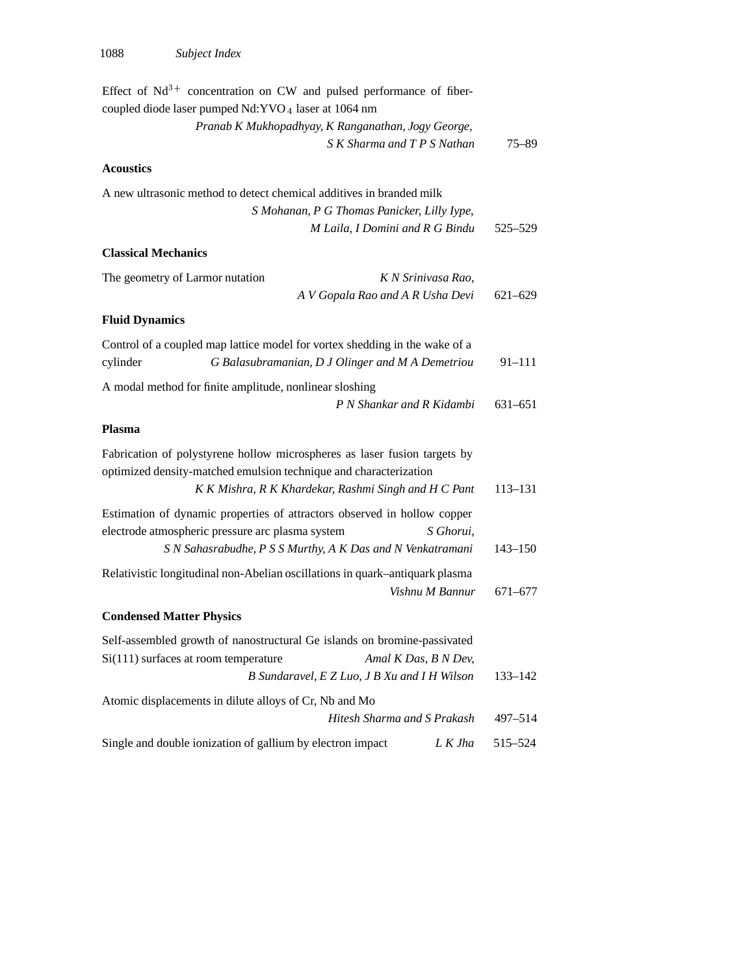| Effect of $Nd^{3+}$ concentration on CW and pulsed performance of fiber-<br>coupled diode laser pumped Nd:YVO <sub>4</sub> laser at 1064 nm |             |
|---------------------------------------------------------------------------------------------------------------------------------------------|-------------|
| Pranab K Mukhopadhyay, K Ranganathan, Jogy George,                                                                                          |             |
| S K Sharma and T P S Nathan                                                                                                                 | $75 - 89$   |
| <b>Acoustics</b>                                                                                                                            |             |
| A new ultrasonic method to detect chemical additives in branded milk                                                                        |             |
| S Mohanan, P G Thomas Panicker, Lilly Iype,                                                                                                 |             |
| M Laila, I Domini and R G Bindu                                                                                                             | 525-529     |
| <b>Classical Mechanics</b>                                                                                                                  |             |
| The geometry of Larmor nutation<br>K N Srinivasa Rao,                                                                                       |             |
| A V Gopala Rao and A R Usha Devi                                                                                                            | $621 - 629$ |
| <b>Fluid Dynamics</b>                                                                                                                       |             |
| Control of a coupled map lattice model for vortex shedding in the wake of a                                                                 |             |
| G Balasubramanian, D J Olinger and M A Demetriou<br>cylinder                                                                                | $91 - 111$  |
| A modal method for finite amplitude, nonlinear sloshing                                                                                     |             |
| P N Shankar and R Kidambi                                                                                                                   | $631 - 651$ |
| <b>Plasma</b>                                                                                                                               |             |
| Fabrication of polystyrene hollow microspheres as laser fusion targets by                                                                   |             |
| optimized density-matched emulsion technique and characterization                                                                           |             |
| K K Mishra, R K Khardekar, Rashmi Singh and H C Pant                                                                                        | 113-131     |
| Estimation of dynamic properties of attractors observed in hollow copper                                                                    |             |
| electrode atmospheric pressure arc plasma system<br>S Ghorui,                                                                               |             |
| S N Sahasrabudhe, P S S Murthy, A K Das and N Venkatramani                                                                                  | $143 - 150$ |
| Relativistic longitudinal non-Abelian oscillations in quark-antiquark plasma                                                                |             |
| Vishnu M Bannur                                                                                                                             | 671-677     |
| <b>Condensed Matter Physics</b>                                                                                                             |             |
| Self-assembled growth of nanostructural Ge islands on bromine-passivated                                                                    |             |
| Si(111) surfaces at room temperature<br>Amal K Das, B N Dev,                                                                                |             |
| B Sundaravel, E Z Luo, J B Xu and I H Wilson                                                                                                | 133-142     |
| Atomic displacements in dilute alloys of Cr, Nb and Mo                                                                                      |             |
| Hitesh Sharma and S Prakash                                                                                                                 | 497-514     |
| Single and double ionization of gallium by electron impact<br>L K Jha                                                                       | 515-524     |